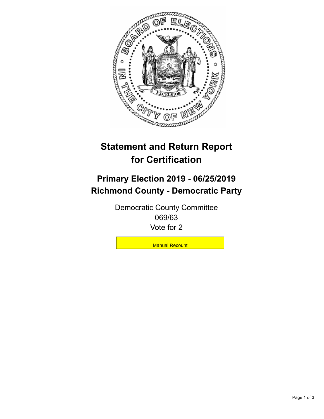

## **Statement and Return Report for Certification**

## **Primary Election 2019 - 06/25/2019 Richmond County - Democratic Party**

Democratic County Committee 069/63 Vote for 2

**Manual Recount**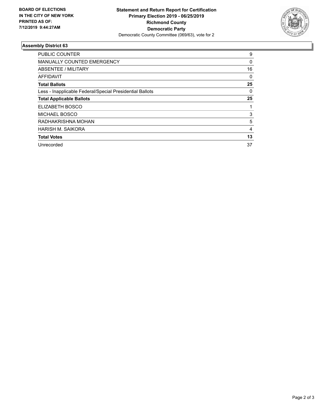

## **Assembly District 63**

| <b>PUBLIC COUNTER</b>                                    | 9  |
|----------------------------------------------------------|----|
| <b>MANUALLY COUNTED EMERGENCY</b>                        | 0  |
| ABSENTEE / MILITARY                                      | 16 |
| AFFIDAVIT                                                | 0  |
| <b>Total Ballots</b>                                     | 25 |
| Less - Inapplicable Federal/Special Presidential Ballots | 0  |
| <b>Total Applicable Ballots</b>                          | 25 |
| ELIZABETH BOSCO                                          |    |
| <b>MICHAEL BOSCO</b>                                     | 3  |
| RADHAKRISHNA MOHAN                                       | 5  |
| <b>HARISH M. SAIKORA</b>                                 | 4  |
| <b>Total Votes</b>                                       | 13 |
| Unrecorded                                               | 37 |